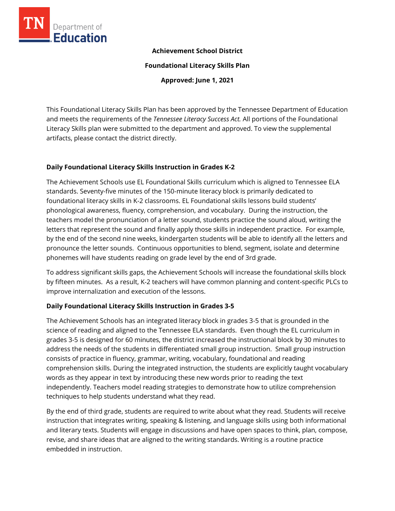

### **Achievement School District**

**Foundational Literacy Skills Plan**

**Approved: June 1, 2021**

This Foundational Literacy Skills Plan has been approved by the Tennessee Department of Education and meets the requirements of the *Tennessee Literacy Success Act.* All portions of the Foundational Literacy Skills plan were submitted to the department and approved. To view the supplemental artifacts, please contact the district directly.

#### **Daily Foundational Literacy Skills Instruction in Grades K-2**

The Achievement Schools use EL Foundational Skills curriculum which is aligned to Tennessee ELA standards. Seventy-five minutes of the 150-minute literacy block is primarily dedicated to foundational literacy skills in K-2 classrooms. EL Foundational skills lessons build students' phonological awareness, fluency, comprehension, and vocabulary. During the instruction, the teachers model the pronunciation of a letter sound, students practice the sound aloud, writing the letters that represent the sound and finally apply those skills in independent practice. For example, by the end of the second nine weeks, kindergarten students will be able to identify all the letters and pronounce the letter sounds. Continuous opportunities to blend, segment, isolate and determine phonemes will have students reading on grade level by the end of 3rd grade.

To address significant skills gaps, the Achievement Schools will increase the foundational skills block by fifteen minutes. As a result, K-2 teachers will have common planning and content-specific PLCs to improve internalization and execution of the lessons.

#### **Daily Foundational Literacy Skills Instruction in Grades 3-5**

The Achievement Schools has an integrated literacy block in grades 3-5 that is grounded in the science of reading and aligned to the Tennessee ELA standards. Even though the EL curriculum in grades 3-5 is designed for 60 minutes, the district increased the instructional block by 30 minutes to address the needs of the students in differentiated small group instruction. Small group instruction consists of practice in fluency, grammar, writing, vocabulary, foundational and reading comprehension skills. During the integrated instruction, the students are explicitly taught vocabulary words as they appear in text by introducing these new words prior to reading the text independently. Teachers model reading strategies to demonstrate how to utilize comprehension techniques to help students understand what they read.

By the end of third grade, students are required to write about what they read. Students will receive instruction that integrates writing, speaking & listening, and language skills using both informational and literary texts. Students will engage in discussions and have open spaces to think, plan, compose, revise, and share ideas that are aligned to the writing standards. Writing is a routine practice embedded in instruction.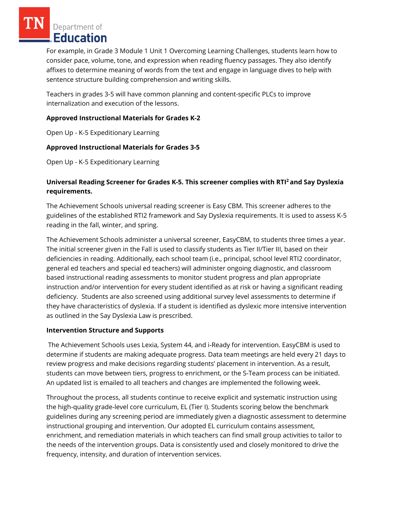Department of Education

For example, in Grade 3 Module 1 Unit 1 Overcoming Learning Challenges, students learn how to consider pace, volume, tone, and expression when reading fluency passages. They also identify affixes to determine meaning of words from the text and engage in language dives to help with sentence structure building comprehension and writing skills.

Teachers in grades 3-5 will have common planning and content-specific PLCs to improve internalization and execution of the lessons.

### **Approved Instructional Materials for Grades K-2**

Open Up - K-5 Expeditionary Learning

# **Approved Instructional Materials for Grades 3-5**

Open Up - K-5 Expeditionary Learning

# **Universal Reading Screener for Grades K-5. This screener complies with RTI<sup>2</sup>and Say Dyslexia requirements.**

The Achievement Schools universal reading screener is Easy CBM. This screener adheres to the guidelines of the established RTI2 framework and Say Dyslexia requirements. It is used to assess K-5 reading in the fall, winter, and spring.

The Achievement Schools administer a universal screener, EasyCBM, to students three times a year. The initial screener given in the Fall is used to classify students as Tier II/Tier III, based on their deficiencies in reading. Additionally, each school team (i.e., principal, school level RTI2 coordinator, general ed teachers and special ed teachers) will administer ongoing diagnostic, and classroom based instructional reading assessments to monitor student progress and plan appropriate instruction and/or intervention for every student identified as at risk or having a significant reading deficiency. Students are also screened using additional survey level assessments to determine if they have characteristics of dyslexia. If a student is identified as dyslexic more intensive intervention as outlined in the Say Dyslexia Law is prescribed.

# **Intervention Structure and Supports**

The Achievement Schools uses Lexia, System 44, and i-Ready for intervention. EasyCBM is used to determine if students are making adequate progress. Data team meetings are held every 21 days to review progress and make decisions regarding students' placement in intervention. As a result, students can move between tiers, progress to enrichment, or the S-Team process can be initiated. An updated list is emailed to all teachers and changes are implemented the following week.

Throughout the process, all students continue to receive explicit and systematic instruction using the high-quality grade-level core curriculum, EL (Tier I). Students scoring below the benchmark guidelines during any screening period are immediately given a diagnostic assessment to determine instructional grouping and intervention. Our adopted EL curriculum contains assessment, enrichment, and remediation materials in which teachers can find small group activities to tailor to the needs of the intervention groups. Data is consistently used and closely monitored to drive the frequency, intensity, and duration of intervention services.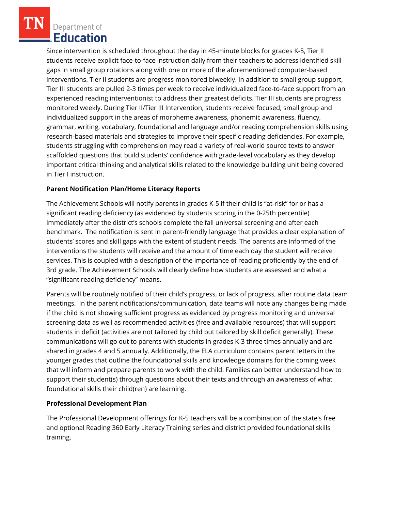Department of Education

Since intervention is scheduled throughout the day in 45-minute blocks for grades K-5, Tier II students receive explicit face-to-face instruction daily from their teachers to address identified skill gaps in small group rotations along with one or more of the aforementioned computer-based interventions. Tier II students are progress monitored biweekly. In addition to small group support, Tier III students are pulled 2-3 times per week to receive individualized face-to-face support from an experienced reading interventionist to address their greatest deficits. Tier III students are progress monitored weekly. During Tier II/Tier III Intervention, students receive focused, small group and individualized support in the areas of morpheme awareness, phonemic awareness, fluency, grammar, writing, vocabulary, foundational and language and/or reading comprehension skills using research-based materials and strategies to improve their specific reading deficiencies. For example, students struggling with comprehension may read a variety of real-world source texts to answer scaffolded questions that build students' confidence with grade-level vocabulary as they develop important critical thinking and analytical skills related to the knowledge building unit being covered in Tier I instruction.

## **Parent Notification Plan/Home Literacy Reports**

The Achievement Schools will notify parents in grades K-5 if their child is "at-risk" for or has a significant reading deficiency (as evidenced by students scoring in the 0-25th percentile) immediately after the district's schools complete the fall universal screening and after each benchmark. The notification is sent in parent-friendly language that provides a clear explanation of students' scores and skill gaps with the extent of student needs. The parents are informed of the interventions the students will receive and the amount of time each day the student will receive services. This is coupled with a description of the importance of reading proficiently by the end of 3rd grade. The Achievement Schools will clearly define how students are assessed and what a "significant reading deficiency" means.

Parents will be routinely notified of their child's progress, or lack of progress, after routine data team meetings. In the parent notifications/communication, data teams will note any changes being made if the child is not showing sufficient progress as evidenced by progress monitoring and universal screening data as well as recommended activities (free and available resources) that will support students in deficit (activities are not tailored by child but tailored by skill deficit generally). These communications will go out to parents with students in grades K-3 three times annually and are shared in grades 4 and 5 annually. Additionally, the ELA curriculum contains parent letters in the younger grades that outline the foundational skills and knowledge domains for the coming week that will inform and prepare parents to work with the child. Families can better understand how to support their student(s) through questions about their texts and through an awareness of what foundational skills their child(ren) are learning.

#### **Professional Development Plan**

The Professional Development offerings for K-5 teachers will be a combination of the state's free and optional Reading 360 Early Literacy Training series and district provided foundational skills training.